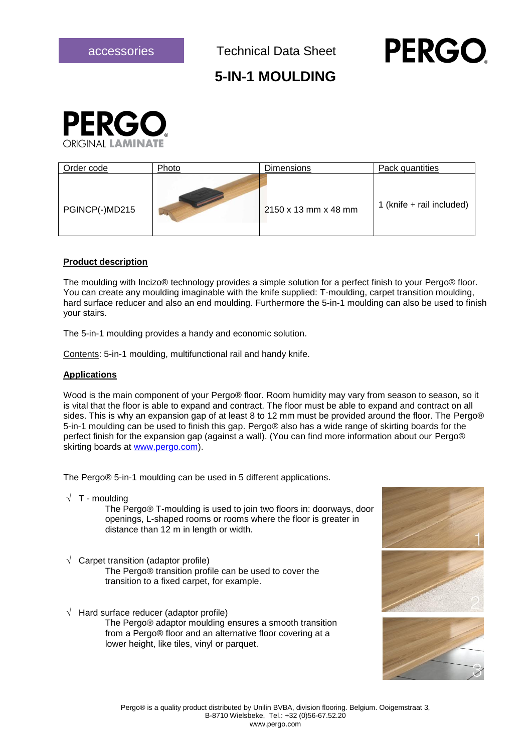## **PERGC**

### **5-IN-1 MOULDING**



| Order code     | Photo | <b>Dimensions</b>    | Pack quantities           |
|----------------|-------|----------------------|---------------------------|
| PGINCP(-)MD215 |       | 2150 x 13 mm x 48 mm | 1 (knife + rail included) |

#### **Product description**

The moulding with Incizo® technology provides a simple solution for a perfect finish to your Pergo® floor. You can create any moulding imaginable with the knife supplied: T-moulding, carpet transition moulding, hard surface reducer and also an end moulding. Furthermore the 5-in-1 moulding can also be used to finish your stairs.

The 5-in-1 moulding provides a handy and economic solution.

Contents: 5-in-1 moulding, multifunctional rail and handy knife.

#### **Applications**

Wood is the main component of your Pergo® floor. Room humidity may vary from season to season, so it is vital that the floor is able to expand and contract. The floor must be able to expand and contract on all sides. This is why an expansion gap of at least 8 to 12 mm must be provided around the floor. The Pergo® 5-in-1 moulding can be used to finish this gap. Pergo® also has a wide range of skirting boards for the perfect finish for the expansion gap (against a wall). (You can find more information about our Pergo® skirting boards at [www.pergo.com\)](http://www.pergo.com/).

The Pergo® 5-in-1 moulding can be used in 5 different applications.

 $\sqrt{T}$  - moulding

The Pergo® T-moulding is used to join two floors in: doorways, door openings, L-shaped rooms or rooms where the floor is greater in distance than 12 m in length or width.

- $\sqrt{\phantom{a}}$  Carpet transition (adaptor profile) The Pergo® transition profile can be used to cover the transition to a fixed carpet, for example.
- $\sqrt{\phantom{a}}$  Hard surface reducer (adaptor profile)

The Pergo® adaptor moulding ensures a smooth transition from a Pergo® floor and an alternative floor covering at a lower height, like tiles, vinyl or parquet.





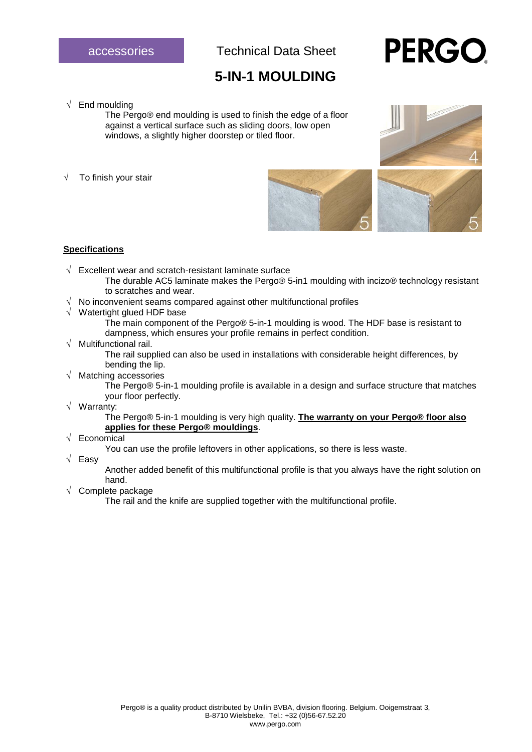## **5-IN-1 MOULDING**

# **PERGC**

#### $\sqrt{\phantom{a}}$  End moulding

The Pergo® end moulding is used to finish the edge of a floor against a vertical surface such as sliding doors, low open windows, a slightly higher doorstep or tiled floor.

To finish your stair





#### **Specifications**

- $\sqrt{ }$  Excellent wear and scratch-resistant laminate surface
	- The durable AC5 laminate makes the Pergo® 5-in1 moulding with incizo® technology resistant to scratches and wear.
- $\sqrt{ }$  No inconvenient seams compared against other multifunctional profiles
- $\sqrt{\phantom{a}}$  Watertight glued HDF base
	- The main component of the Pergo® 5-in-1 moulding is wood. The HDF base is resistant to dampness, which ensures your profile remains in perfect condition.
- $\sqrt{ }$  Multifunctional rail.

The rail supplied can also be used in installations with considerable height differences, by bending the lip.

 $\sqrt{\phantom{a}}$  Matching accessories

The Pergo® 5-in-1 moulding profile is available in a design and surface structure that matches your floor perfectly.

Warranty:

The Pergo® 5-in-1 moulding is very high quality. **The warranty on your Pergo® floor also applies for these Pergo® mouldings**.

#### $\sqrt{\phantom{a}}$  Economical

You can use the profile leftovers in other applications, so there is less waste.

 $\sqrt{}$  Easy

Another added benefit of this multifunctional profile is that you always have the right solution on hand.

 $\sqrt{\phantom{a}}$  Complete package

The rail and the knife are supplied together with the multifunctional profile.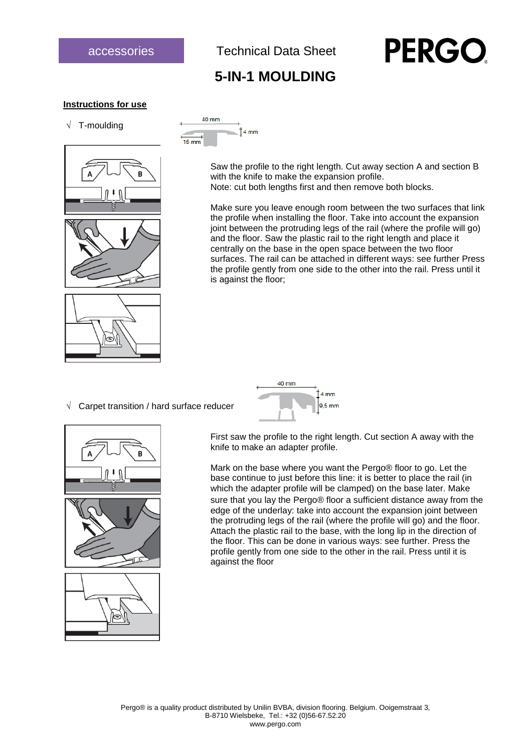

## **PERGO**

## **5-IN-1 MOULDING**

#### **Instructions for use**







 $40 \text{ mm}$  $4<sub>mm</sub>$  $15 \, \text{mm}$ 

> Saw the profile to the right length. Cut away section A and section B with the knife to make the expansion profile. Note: cut both lengths first and then remove both blocks.

Make sure you leave enough room between the two surfaces that link the profile when installing the floor. Take into account the expansion joint between the protruding legs of the rail (where the profile will go) and the floor. Saw the plastic rail to the right length and place it centrally on the base in the open space between the two floor surfaces. The rail can be attached in different ways: see further Press the profile gently from one side to the other into the rail. Press until it is against the floor;

 $\sqrt{ }$  Carpet transition / hard surface reducer



40 mm

First saw the profile to the right length. Cut section A away with the knife to make an adapter profile.

Mark on the base where you want the Pergo® floor to go. Let the base continue to just before this line: it is better to place the rail (in which the adapter profile will be clamped) on the base later. Make sure that you lay the Pergo® floor a sufficient distance away from the edge of the underlay: take into account the expansion joint between the protruding legs of the rail (where the profile will go) and the floor. Attach the plastic rail to the base, with the long lip in the direction of the floor. This can be done in various ways: see further. Press the profile gently from one side to the other in the rail. Press until it is against the floor

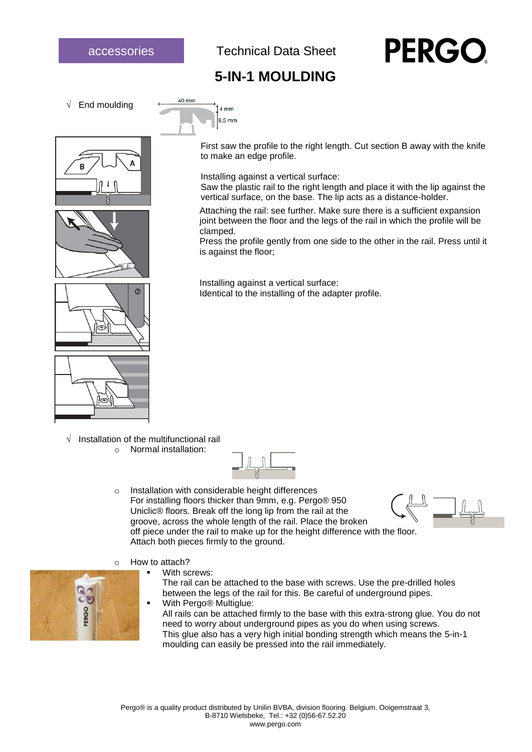# **PERGC**

## **5-IN-1 MOULDING**



 $40 \text{ mm}$ 

 $14 \text{ mm}$  $9.5 \text{ mm}$ 







First saw the profile to the right length. Cut section B away with the knife to make an edge profile.

Installing against a vertical surface:

Saw the plastic rail to the right length and place it with the lip against the vertical surface, on the base. The lip acts as a distance-holder.

Attaching the rail: see further. Make sure there is a sufficient expansion joint between the floor and the legs of the rail in which the profile will be clamped.

Press the profile gently from one side to the other in the rail. Press until it is against the floor;

Installing against a vertical surface: Identical to the installing of the adapter profile.

 $\sqrt{ }$  Installation of the multifunctional rail o Normal installation:



- o Installation with considerable height differences For installing floors thicker than 9mm, e.g. Pergo® 950 Uniclic® floors. Break off the long lip from the rail at the groove, across the whole length of the rail. Place the broken off piece under the rail to make up for the height difference with the floor. Attach both pieces firmly to the ground.
- o How to attach?
	- With screws:

The rail can be attached to the base with screws. Use the pre-drilled holes between the legs of the rail for this. Be careful of underground pipes.

■ With Pergo<sup>®</sup> Multiglue:

All rails can be attached firmly to the base with this extra-strong glue. You do not need to worry about underground pipes as you do when using screws. This glue also has a very high initial bonding strength which means the 5-in-1 moulding can easily be pressed into the rail immediately.